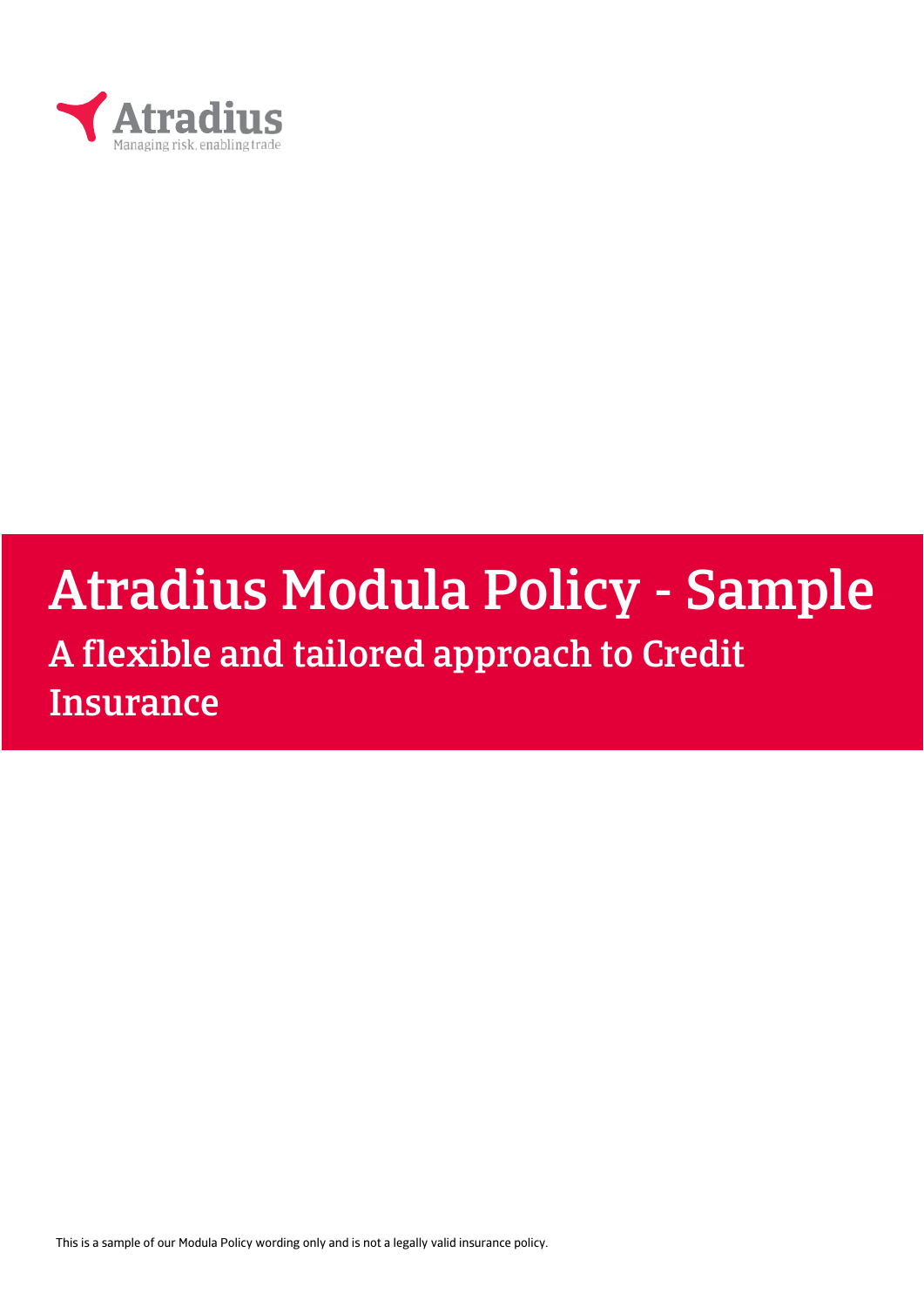

# Atradius Modula Policy - Sample A flexible and tailored approach to Credit

**Insurance** 

This is a sample of our Modula Policy wording only and is not a legally valid insurance policy.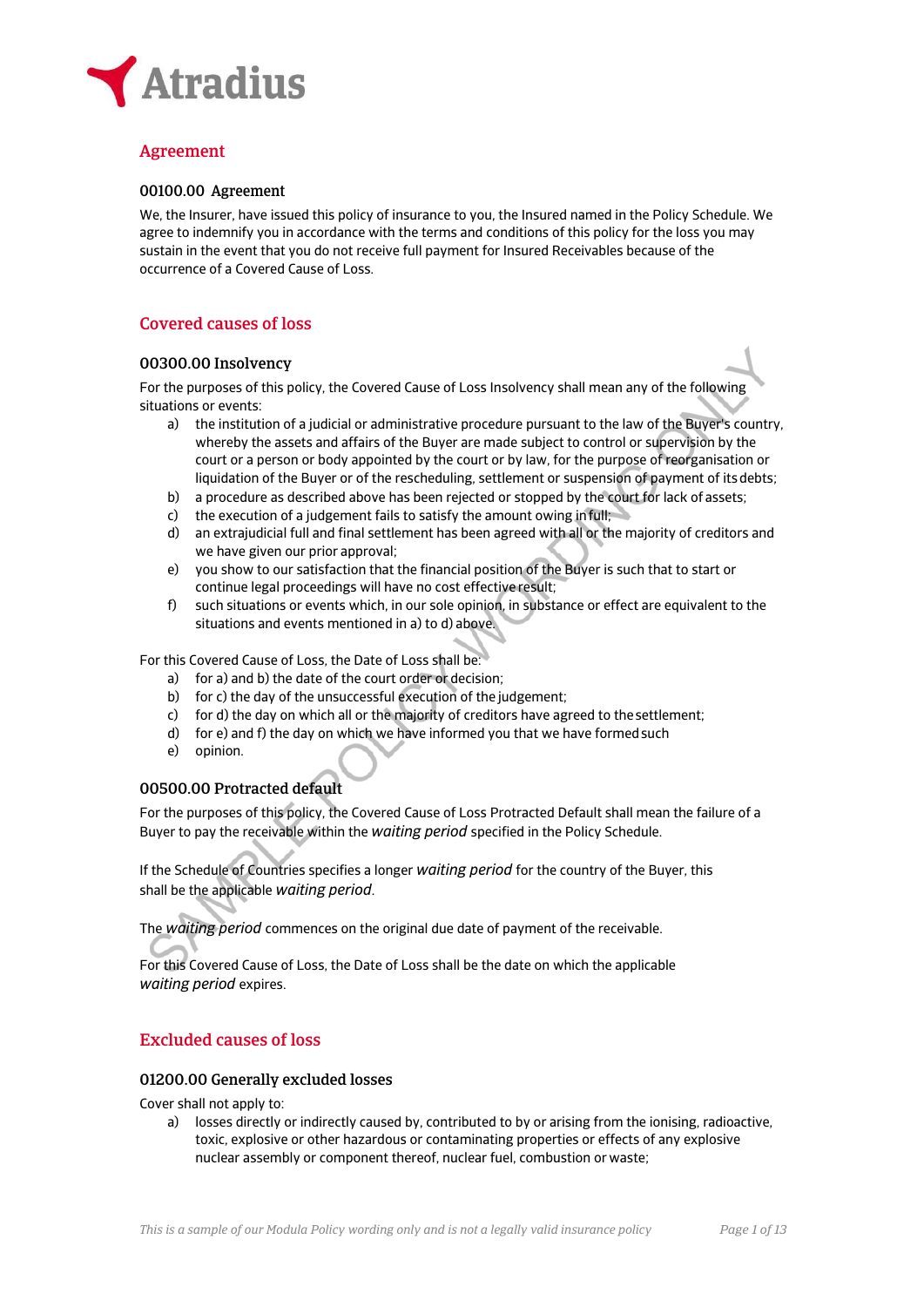

# Agreement

## 00100.00 Agreement

We, the Insurer, have issued this policy of insurance to you, the Insured named in the Policy Schedule. We agree to indemnify you in accordance with the terms and conditions of this policy for the loss you may sustain in the event that you do not receive full payment for Insured Receivables because of the occurrence of a Covered Cause of Loss.

# Covered causes of loss

## 00300.00 Insolvency

For the purposes of this policy, the Covered Cause of Loss Insolvency shall mean any of the following situations or events:

- a) the institution of a judicial or administrative procedure pursuant to the law of the Buyer's country, whereby the assets and affairs of the Buyer are made subject to control or supervision by the court or a person or body appointed by the court or by law, for the purpose of reorganisation or liquidation of the Buyer or of the rescheduling, settlement or suspension of payment of its debts;
- b) a procedure as described above has been rejected or stopped by the court for lack of assets;
- c) the execution of a judgement fails to satisfy the amount owing in full;
- d) an extrajudicial full and final settlement has been agreed with all or the majority of creditors and we have given our prior approval;
- e) you show to our satisfaction that the financial position of the Buyer is such that to start or continue legal proceedings will have no cost effective result;
- f) such situations or events which, in our sole opinion, in substance or effect are equivalent to the situations and events mentioned in a) to d) above.

For this Covered Cause of Loss, the Date of Loss shall be:

- a) for a) and b) the date of the court order or decision;
- b) for c) the day of the unsuccessful execution of the judgement;
- c) for d) the day on which all or the majority of creditors have agreed to the settlement;
- d) for e) and f) the day on which we have informed you that we have formed such
- e) opinion.

# 00500.00 Protracted default

For the purposes of this policy, the Covered Cause of Loss Protracted Default shall mean the failure of a Buyer to pay the receivable within the *waiting period* specified in the Policy Schedule.

If the Schedule of Countries specifies a longer *waiting period* for the country of the Buyer, this shall be the applicable *waiting period*.

The *waiting period* commences on the original due date of payment of the receivable.

For this Covered Cause of Loss, the Date of Loss shall be the date on which the applicable *waiting period* expires.

# Excluded causes of loss

## 01200.00 Generally excluded losses

Cover shall not apply to:

a) losses directly or indirectly caused by, contributed to by or arising from the ionising, radioactive, toxic, explosive or other hazardous or contaminating properties or effects of any explosive nuclear assembly or component thereof, nuclear fuel, combustion or waste;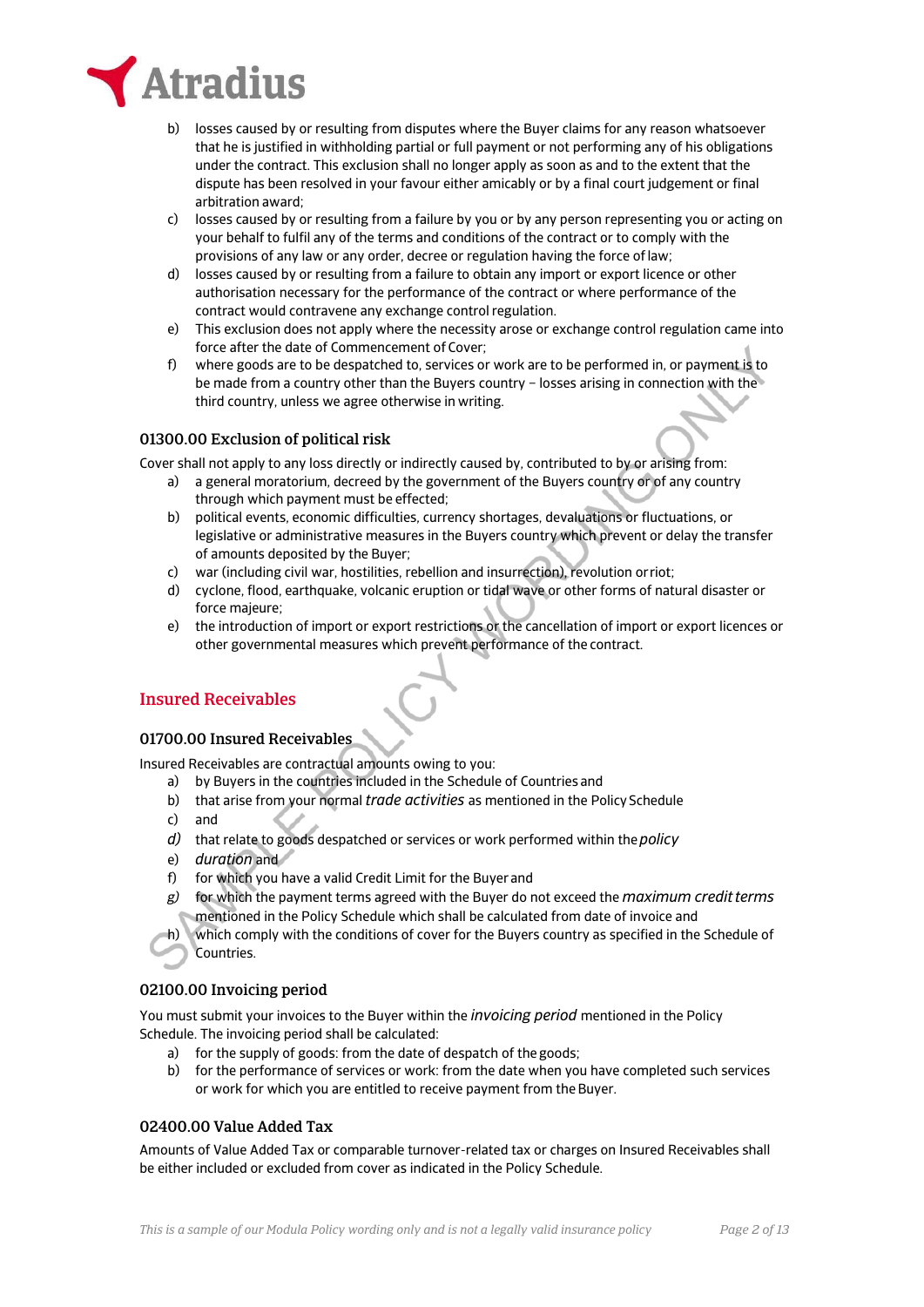

- b) losses caused by or resulting from disputes where the Buyer claims for any reason whatsoever that he is justified in withholding partial or full payment or not performing any of his obligations under the contract. This exclusion shall no longer apply as soon as and to the extent that the dispute has been resolved in your favour either amicably or by a final court judgement or final arbitration award;
- c) losses caused by or resulting from a failure by you or by any person representing you or acting on your behalf to fulfil any of the terms and conditions of the contract or to comply with the provisions of any law or any order, decree or regulation having the force of law;
- d) losses caused by or resulting from a failure to obtain any import or export licence or other authorisation necessary for the performance of the contract or where performance of the contract would contravene any exchange control regulation.
- e) This exclusion does not apply where the necessity arose or exchange control regulation came into force after the date of Commencement of Cover;
- f) where goods are to be despatched to, services or work are to be performed in, or payment is to be made from a country other than the Buyers country – losses arising in connection with the third country, unless we agree otherwise in writing.

## 01300.00 Exclusion of political risk

Cover shall not apply to any loss directly or indirectly caused by, contributed to by or arising from:

- a) a general moratorium, decreed by the government of the Buyers country or of any country through which payment must be effected;
- b) political events, economic difficulties, currency shortages, devaluations or fluctuations, or legislative or administrative measures in the Buyers country which prevent or delay the transfer of amounts deposited by the Buyer;
- c) war (including civil war, hostilities, rebellion and insurrection), revolution or riot;
- d) cyclone, flood, earthquake, volcanic eruption or tidal wave or other forms of natural disaster or force majeure;
- e) the introduction of import or export restrictions or the cancellation of import or export licences or other governmental measures which prevent performance of the contract.

# Insured Receivables

## 01700.00 Insured Receivables

Insured Receivables are contractual amounts owing to you:

- a) by Buyers in the countries included in the Schedule of Countries and
- b) that arise from your normal *trade activities* as mentioned in the Policy Schedule
- c) and
- *d)* that relate to goods despatched or services or work performed within the *policy*
- e) *duration* and
- f) for which you have a valid Credit Limit for the Buyer and
- *g)* for which the payment terms agreed with the Buyer do not exceed the *maximum credit terms* mentioned in the Policy Schedule which shall be calculated from date of invoice and
- h) which comply with the conditions of cover for the Buyers country as specified in the Schedule of Countries.

## 02100.00 Invoicing period

You must submit your invoices to the Buyer within the *invoicing period* mentioned in the Policy Schedule. The invoicing period shall be calculated:

- a) for the supply of goods: from the date of despatch of the goods;
- b) for the performance of services or work: from the date when you have completed such services or work for which you are entitled to receive payment from the Buyer.

# 02400.00 Value Added Tax

Amounts of Value Added Tax or comparable turnover-related tax or charges on Insured Receivables shall be either included or excluded from cover as indicated in the Policy Schedule.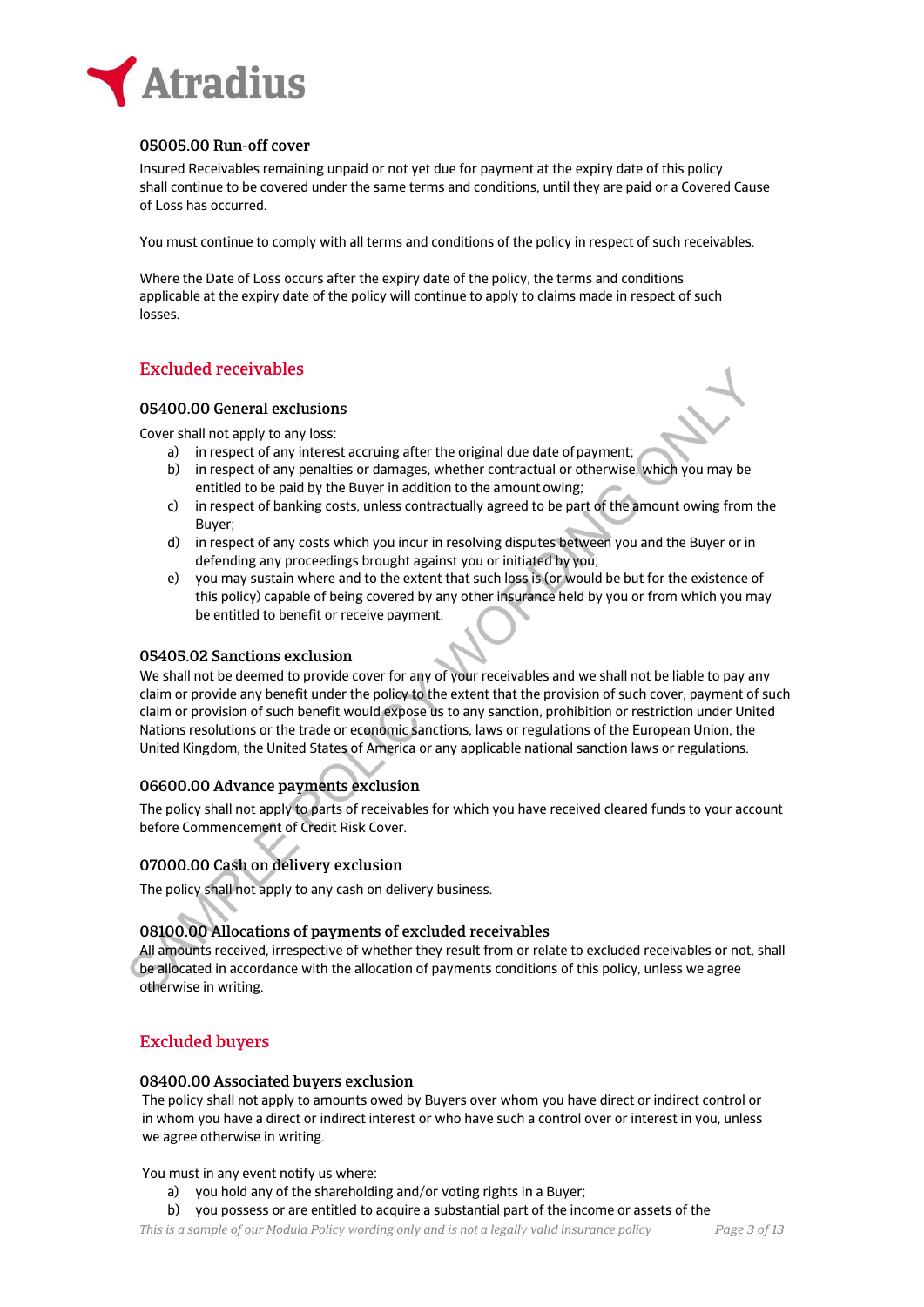

# 05005.00 Run-off cover

Insured Receivables remaining unpaid or not yet due for payment at the expiry date of this policy shall continue to be covered under the same terms and conditions, until they are paid or a Covered Cause of Loss has occurred.

You must continue to comply with all terms and conditions of the policy in respect of such receivables.

Where the Date of Loss occurs after the expiry date of the policy, the terms and conditions applicable at the expiry date of the policy will continue to apply to claims made in respect of such losses.

# Excluded receivables

## 05400.00 General exclusions

Cover shall not apply to any loss:

- a) in respect of any interest accruing after the original due date of payment;
- b) in respect of any penalties or damages, whether contractual or otherwise, which you may be entitled to be paid by the Buyer in addition to the amount owing;
- c) in respect of banking costs, unless contractually agreed to be part of the amount owing from the Buyer;
- d) in respect of any costs which you incur in resolving disputes between you and the Buyer or in defending any proceedings brought against you or initiated by you;
- e) you may sustain where and to the extent that such loss is (or would be but for the existence of this policy) capable of being covered by any other insurance held by you or from which you may be entitled to benefit or receive payment.

## 05405.02 Sanctions exclusion

We shall not be deemed to provide cover for any of your receivables and we shall not be liable to pay any claim or provide any benefit under the policy to the extent that the provision of such cover, payment of such claim or provision of such benefit would expose us to any sanction, prohibition or restriction under United Nations resolutions or the trade or economic sanctions, laws or regulations of the European Union, the United Kingdom, the United States of America or any applicable national sanction laws or regulations.

# 06600.00 Advance payments exclusion

The policy shall not apply to parts of receivables for which you have received cleared funds to your account before Commencement of Credit Risk Cover.

# 07000.00 Cash on delivery exclusion

The policy shall not apply to any cash on delivery business.

# 08100.00 Allocations of payments of excluded receivables

All amounts received, irrespective of whether they result from or relate to excluded receivables or not, shall be allocated in accordance with the allocation of payments conditions of this policy, unless we agree otherwise in writing.

# Excluded buyers

## 08400.00 Associated buyers exclusion

The policy shall not apply to amounts owed by Buyers over whom you have direct or indirect control or in whom you have a direct or indirect interest or who have such a control over or interest in you, unless we agree otherwise in writing.

You must in any event notify us where:

- a) you hold any of the shareholding and/or voting rights in a Buyer;
- b) you possess or are entitled to acquire a substantial part of the income or assets of the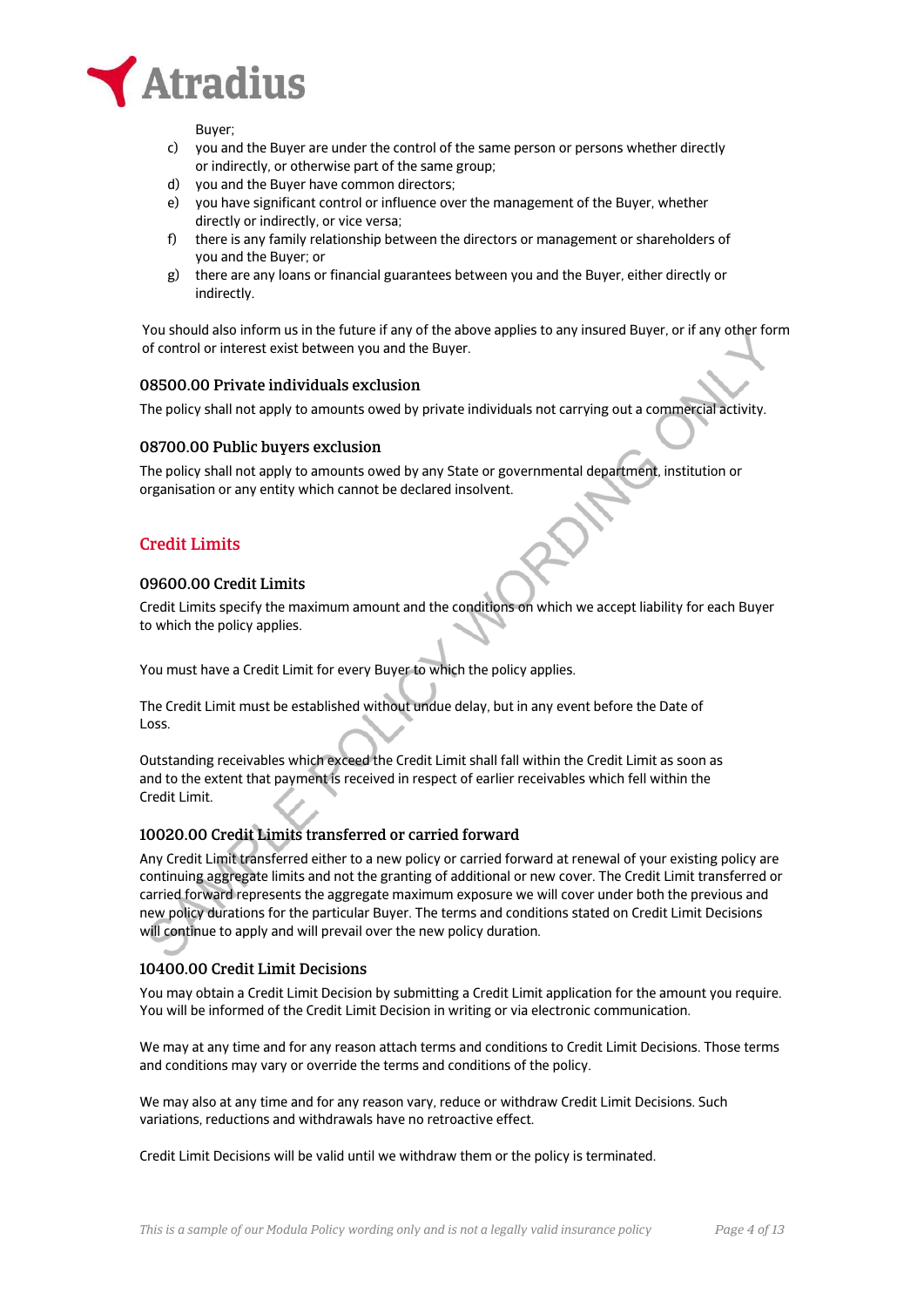

Buyer;

- c) you and the Buyer are under the control of the same person or persons whether directly or indirectly, or otherwise part of the same group;
- d) you and the Buyer have common directors;
- e) you have significant control or influence over the management of the Buyer, whether directly or indirectly, or vice versa;
- f) there is any family relationship between the directors or management or shareholders of you and the Buyer; or
- g) there are any loans or financial guarantees between you and the Buyer, either directly or indirectly.

You should also inform us in the future if any of the above applies to any insured Buyer, or if any other form of control or interest exist between you and the Buyer.

## 08500.00 Private individuals exclusion

The policy shall not apply to amounts owed by private individuals not carrying out a commercial activity.

## 08700.00 Public buyers exclusion

The policy shall not apply to amounts owed by any State or governmental department, institution or organisation or any entity which cannot be declared insolvent.

## Credit Limits

### 09600.00 Credit Limits

Credit Limits specify the maximum amount and the conditions on which we accept liability for each Buyer to which the policy applies.

You must have a Credit Limit for every Buyer to which the policy applies.

The Credit Limit must be established without undue delay, but in any event before the Date of Loss.

Outstanding receivables which exceed the Credit Limit shall fall within the Credit Limit as soon as and to the extent that payment is received in respect of earlier receivables which fell within the Credit Limit.

# 10020.00 Credit Limits transferred or carried forward

Any Credit Limit transferred either to a new policy or carried forward at renewal of your existing policy are continuing aggregate limits and not the granting of additional or new cover. The Credit Limit transferred or carried forward represents the aggregate maximum exposure we will cover under both the previous and new policy durations for the particular Buyer. The terms and conditions stated on Credit Limit Decisions will continue to apply and will prevail over the new policy duration.

## 10400.00 Credit Limit Decisions

You may obtain a Credit Limit Decision by submitting a Credit Limit application for the amount you require. You will be informed of the Credit Limit Decision in writing or via electronic communication.

We may at any time and for any reason attach terms and conditions to Credit Limit Decisions. Those terms and conditions may vary or override the terms and conditions of the policy.

We may also at any time and for any reason vary, reduce or withdraw Credit Limit Decisions. Such variations, reductions and withdrawals have no retroactive effect.

Credit Limit Decisions will be valid until we withdraw them or the policy is terminated.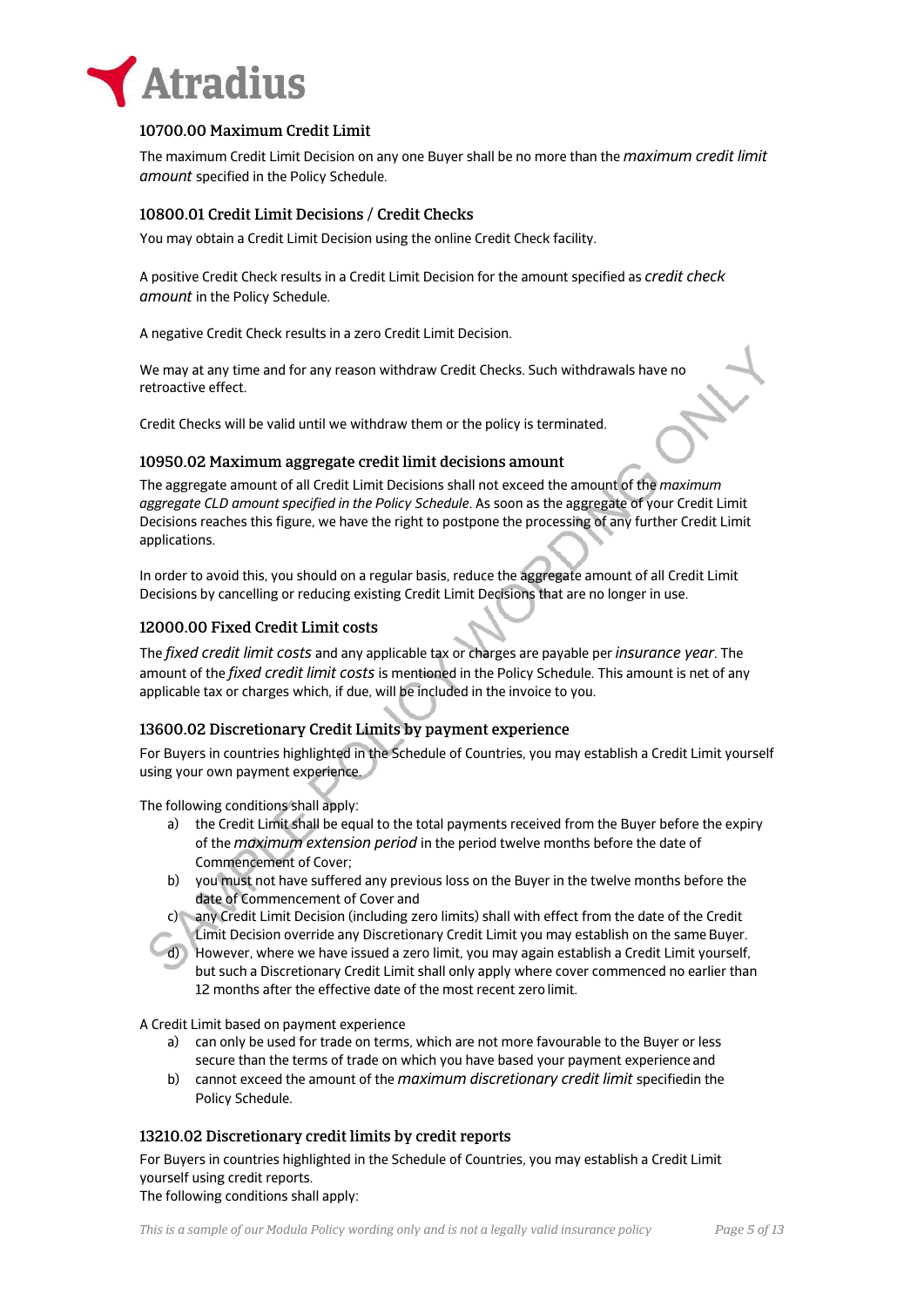

## 10700.00 Maximum Credit Limit

The maximum Credit Limit Decision on any one Buyer shall be no more than the *maximum credit limit amount* specified in the Policy Schedule.

## 10800.01 Credit Limit Decisions / Credit Checks

You may obtain a Credit Limit Decision using the online Credit Check facility.

A positive Credit Check results in a Credit Limit Decision for the amount specified as *credit check amount* in the Policy Schedule.

A negative Credit Check results in a zero Credit Limit Decision.

We may at any time and for any reason withdraw Credit Checks. Such withdrawals have no retroactive effect.

Credit Checks will be valid until we withdraw them or the policy is terminated.

### 10950.02 Maximum aggregate credit limit decisions amount

The aggregate amount of all Credit Limit Decisions shall not exceed the amount of the *maximum aggregate CLD amount specified in the Policy Schedule*. As soon as the aggregate of your Credit Limit Decisions reaches this figure, we have the right to postpone the processing of any further Credit Limit applications.

In order to avoid this, you should on a regular basis, reduce the aggregate amount of all Credit Limit Decisions by cancelling or reducing existing Credit Limit Decisions that are no longer in use.

### 12000.00 Fixed Credit Limit costs

The *fixed credit limit costs* and any applicable tax or charges are payable per *insurance year*. The amount of the *fixed credit limit costs* is mentioned in the Policy Schedule. This amount is net of any applicable tax or charges which, if due, will be included in the invoice to you.

## 13600.02 Discretionary Credit Limits by payment experience

For Buyers in countries highlighted in the Schedule of Countries, you may establish a Credit Limit yourself using your own payment experience.

The following conditions shall apply:

- a) the Credit Limit shall be equal to the total payments received from the Buyer before the expiry of the *maximum extension period* in the period twelve months before the date of Commencement of Cover;
- b) you must not have suffered any previous loss on the Buyer in the twelve months before the date of Commencement of Cover and
- c) any Credit Limit Decision (including zero limits) shall with effect from the date of the Credit
- Limit Decision override any Discretionary Credit Limit you may establish on the same Buyer.
- d) However, where we have issued a zero limit, you may again establish a Credit Limit yourself, but such a Discretionary Credit Limit shall only apply where cover commenced no earlier than 12 months after the effective date of the most recent zero limit.

A Credit Limit based on payment experience

- a) can only be used for trade on terms, which are not more favourable to the Buyer or less secure than the terms of trade on which you have based your payment experience and
- b) cannot exceed the amount of the *maximum discretionary credit limit* specifiedin the Policy Schedule.

## 13210.02 Discretionary credit limits by credit reports

For Buyers in countries highlighted in the Schedule of Countries, you may establish a Credit Limit yourself using credit reports. The following conditions shall apply: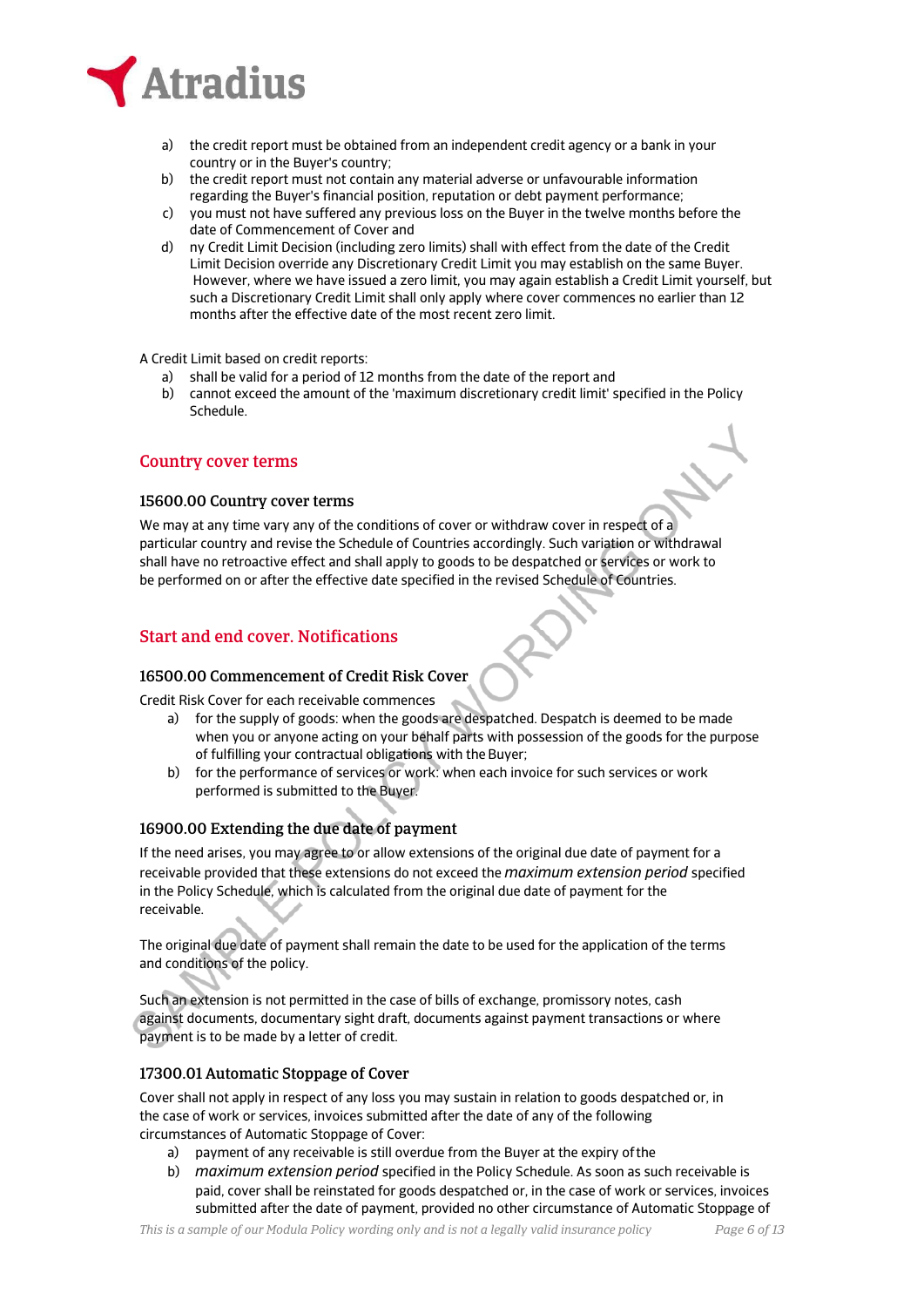

- a) the credit report must be obtained from an independent credit agency or a bank in your country or in the Buyer's country;
- b) the credit report must not contain any material adverse or unfavourable information regarding the Buyer's financial position, reputation or debt payment performance;
- c) you must not have suffered any previous loss on the Buyer in the twelve months before the date of Commencement of Cover and
- d) ny Credit Limit Decision (including zero limits) shall with effect from the date of the Credit Limit Decision override any Discretionary Credit Limit you may establish on the same Buyer. However, where we have issued a zero limit, you may again establish a Credit Limit yourself, but such a Discretionary Credit Limit shall only apply where cover commences no earlier than 12 months after the effective date of the most recent zero limit.

A Credit Limit based on credit reports:

- a) shall be valid for a period of 12 months from the date of the report and
- b) cannot exceed the amount of the 'maximum discretionary credit limit' specified in the Policy Schedule.

## Country cover terms

### 15600.00 Country cover terms

We may at any time vary any of the conditions of cover or withdraw cover in respect of a particular country and revise the Schedule of Countries accordingly. Such variation or withdrawal shall have no retroactive effect and shall apply to goods to be despatched or services or work to be performed on or after the effective date specified in the revised Schedule of Countries.

# Start and end cover. Notifications

## 16500.00 Commencement of Credit Risk Cover

Credit Risk Cover for each receivable commences

- a) for the supply of goods: when the goods are despatched. Despatch is deemed to be made when you or anyone acting on your behalf parts with possession of the goods for the purpose of fulfilling your contractual obligations with the Buyer;
- b) for the performance of services or work: when each invoice for such services or work performed is submitted to the Buyer.

# 16900.00 Extending the due date of payment

If the need arises, you may agree to or allow extensions of the original due date of payment for a receivable provided that these extensions do not exceed the *maximum extension period* specified in the Policy Schedule, which is calculated from the original due date of payment for the receivable.

The original due date of payment shall remain the date to be used for the application of the terms and conditions of the policy.

Such an extension is not permitted in the case of bills of exchange, promissory notes, cash against documents, documentary sight draft, documents against payment transactions or where payment is to be made by a letter of credit.

## 17300.01 Automatic Stoppage of Cover

Cover shall not apply in respect of any loss you may sustain in relation to goods despatched or, in the case of work or services, invoices submitted after the date of any of the following circumstances of Automatic Stoppage of Cover:

- a) payment of any receivable is still overdue from the Buyer at the expiry of the
- b) *maximum extension period* specified in the Policy Schedule. As soon as such receivable is paid, cover shall be reinstated for goods despatched or, in the case of work or services, invoices submitted after the date of payment, provided no other circumstance of Automatic Stoppage of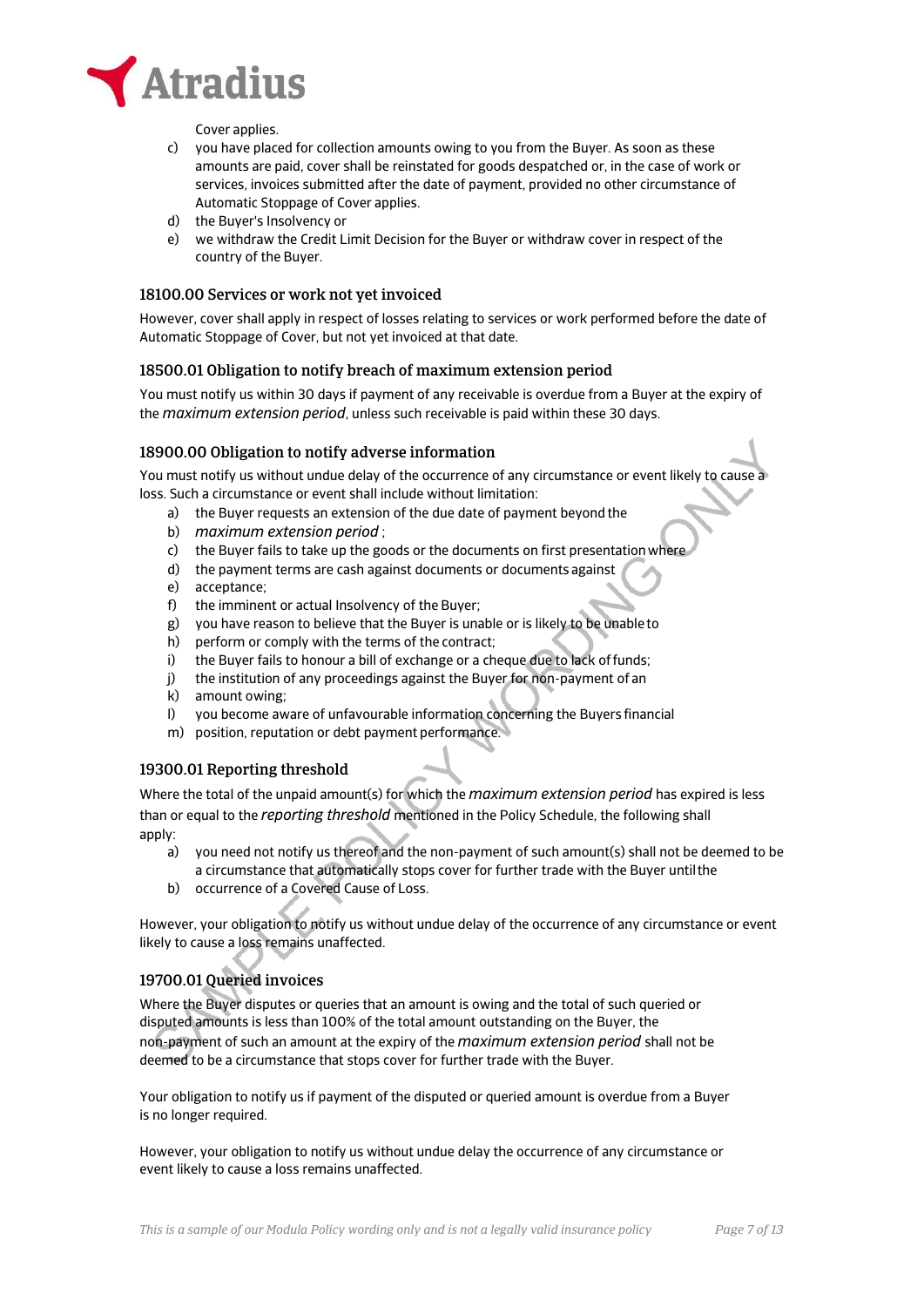

Cover applies.

- c) you have placed for collection amounts owing to you from the Buyer. As soon as these amounts are paid, cover shall be reinstated for goods despatched or, in the case of work or services, invoices submitted after the date of payment, provided no other circumstance of Automatic Stoppage of Cover applies.
- d) the Buyer's Insolvency or
- e) we withdraw the Credit Limit Decision for the Buyer or withdraw cover in respect of the country of the Buyer.

## 18100.00 Services or work not yet invoiced

However, cover shall apply in respect of losses relating to services or work performed before the date of Automatic Stoppage of Cover, but not yet invoiced at that date.

### 18500.01 Obligation to notify breach of maximum extension period

You must notify us within 30 days if payment of any receivable is overdue from a Buyer at the expiry of the *maximum extension period*, unless such receivable is paid within these 30 days.

### 18900.00 Obligation to notify adverse information

You must notify us without undue delay of the occurrence of any circumstance or event likely to cause a loss. Such a circumstance or event shall include without limitation:

- a) the Buyer requests an extension of the due date of payment beyond the
- b) *maximum extension period* ;
- c) the Buyer fails to take up the goods or the documents on first presentation where
- d) the payment terms are cash against documents or documents against
- e) acceptance;
- f) the imminent or actual Insolvency of the Buyer;
- g) you have reason to believe that the Buyer is unable or is likely to be unable to
- h) perform or comply with the terms of the contract;
- i) the Buyer fails to honour a bill of exchange or a cheque due to lack of funds;
- j) the institution of any proceedings against the Buyer for non-payment of an
- k) amount owing;
- l) you become aware of unfavourable information concerning the Buyers financial
- m) position, reputation or debt payment performance.

## 19300.01 Reporting threshold

Where the total of the unpaid amount(s) for which the *maximum extension period* has expired is less than or equal to the *reporting threshold* mentioned in the Policy Schedule, the following shall apply:

- a) you need not notify us thereof and the non-payment of such amount(s) shall not be deemed to be a circumstance that automatically stops cover for further trade with the Buyer until the
- b) occurrence of a Covered Cause of Loss.

However, your obligation to notify us without undue delay of the occurrence of any circumstance or event likely to cause a loss remains unaffected.

## 19700.01 Queried invoices

Where the Buyer disputes or queries that an amount is owing and the total of such queried or disputed amounts is less than 100% of the total amount outstanding on the Buyer, the non-payment of such an amount at the expiry of the *maximum extension period* shall not be deemed to be a circumstance that stops cover for further trade with the Buyer.

Your obligation to notify us if payment of the disputed or queried amount is overdue from a Buyer is no longer required.

However, your obligation to notify us without undue delay the occurrence of any circumstance or event likely to cause a loss remains unaffected.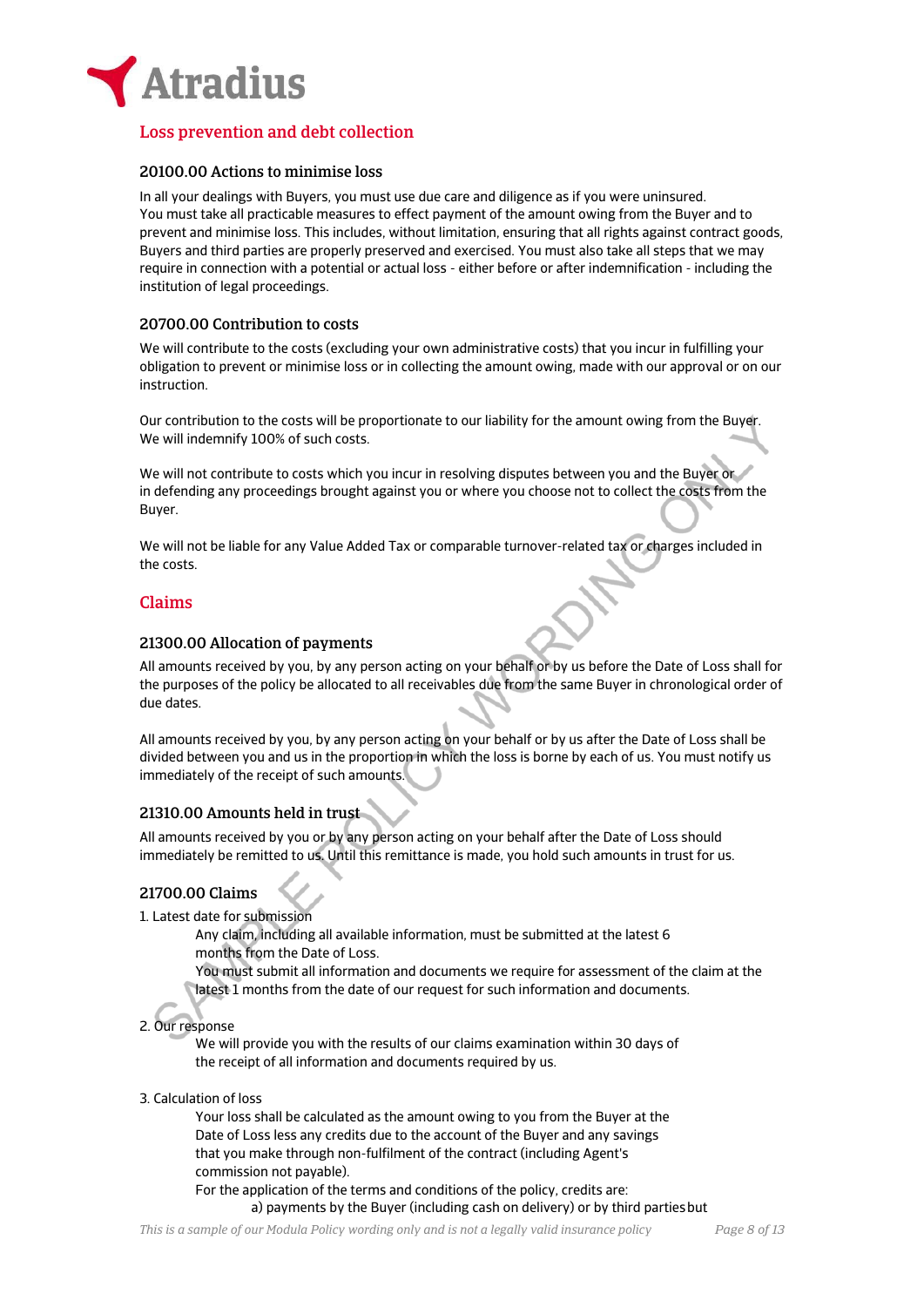

# Loss prevention and debt collection

## 20100.00 Actions to minimise loss

In all your dealings with Buyers, you must use due care and diligence as if you were uninsured. You must take all practicable measures to effect payment of the amount owing from the Buyer and to prevent and minimise loss. This includes, without limitation, ensuring that all rights against contract goods, Buyers and third parties are properly preserved and exercised. You must also take all steps that we may require in connection with a potential or actual loss - either before or after indemnification - including the institution of legal proceedings.

## 20700.00 Contribution to costs

We will contribute to the costs (excluding your own administrative costs) that you incur in fulfilling your obligation to prevent or minimise loss or in collecting the amount owing, made with our approval or on our instruction.

Our contribution to the costs will be proportionate to our liability for the amount owing from the Buyer. We will indemnify 100% of such costs.

We will not contribute to costs which you incur in resolving disputes between you and the Buyer or in defending any proceedings brought against you or where you choose not to collect the costs from the Buyer.

We will not be liable for any Value Added Tax or comparable turnover-related tax or charges included in the costs.

## Claims

## 21300.00 Allocation of payments

All amounts received by you, by any person acting on your behalf or by us before the Date of Loss shall for the purposes of the policy be allocated to all receivables due from the same Buyer in chronological order of due dates.

All amounts received by you, by any person acting on your behalf or by us after the Date of Loss shall be divided between you and us in the proportion in which the loss is borne by each of us. You must notify us immediately of the receipt of such amounts.

## 21310.00 Amounts held in trust

All amounts received by you or by any person acting on your behalf after the Date of Loss should immediately be remitted to us. Until this remittance is made, you hold such amounts in trust for us.

## 21700.00 Claims

1. Latest date for submission

Any claim, including all available information, must be submitted at the latest 6 months from the Date of Loss.

You must submit all information and documents we require for assessment of the claim at the latest 1 months from the date of our request for such information and documents.

# 2. Our response

We will provide you with the results of our claims examination within 30 days of the receipt of all information and documents required by us.

3. Calculation of loss

Your loss shall be calculated as the amount owing to you from the Buyer at the Date of Loss less any credits due to the account of the Buyer and any savings that you make through non-fulfilment of the contract (including Agent's commission not payable).

For the application of the terms and conditions of the policy, credits are: a) payments by the Buyer (including cash on delivery) or by third parties but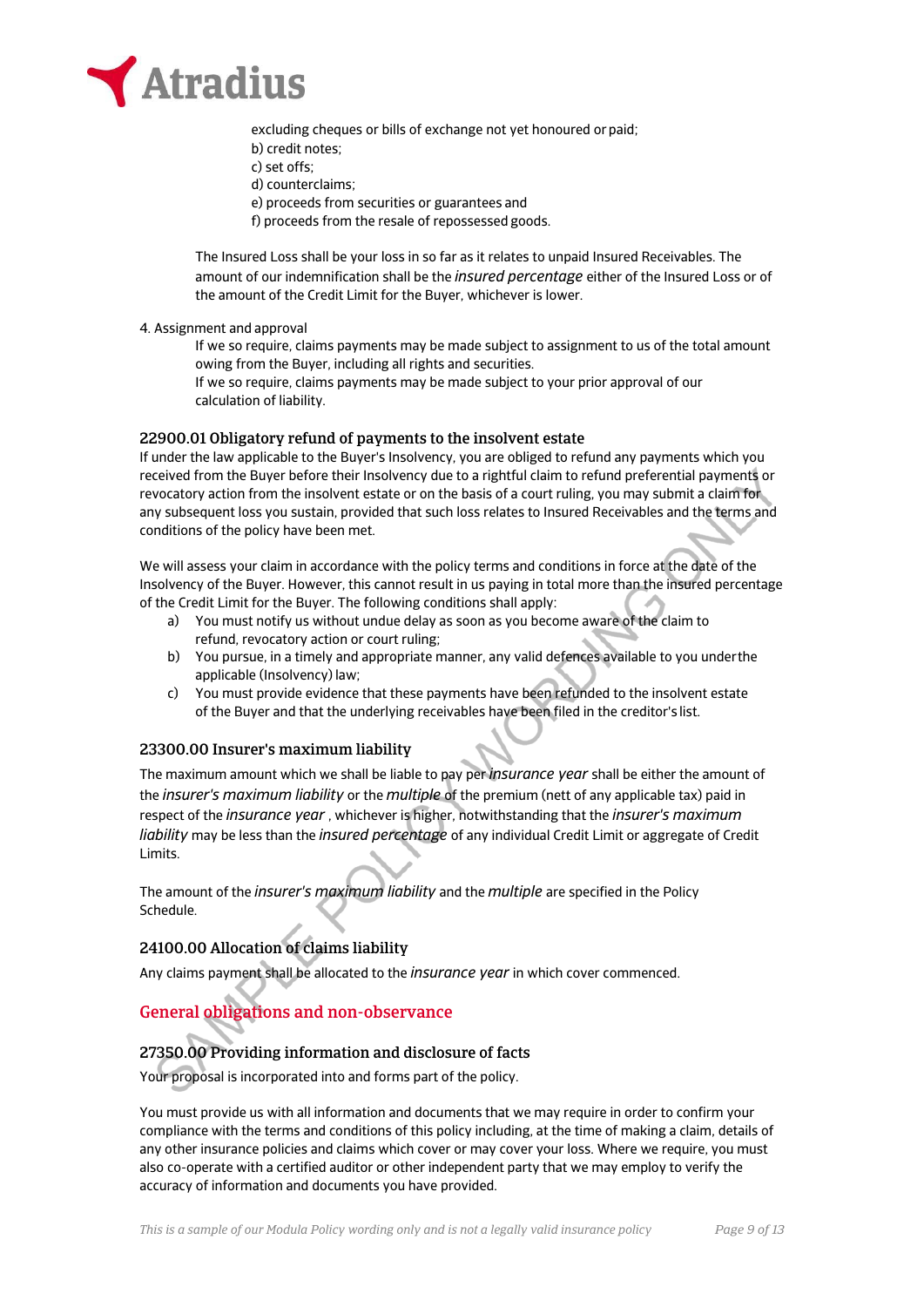

excluding cheques or bills of exchange not yet honoured or paid; b) credit notes; c) set offs; d) counterclaims; e) proceeds from securities or guarantees and f) proceeds from the resale of repossessed goods.

The Insured Loss shall be your loss in so far as it relates to unpaid Insured Receivables. The amount of our indemnification shall be the *insured percentage* either of the Insured Loss or of the amount of the Credit Limit for the Buyer, whichever is lower.

4. Assignment and approval

If we so require, claims payments may be made subject to assignment to us of the total amount owing from the Buyer, including all rights and securities.

If we so require, claims payments may be made subject to your prior approval of our calculation of liability.

## 22900.01 Obligatory refund of payments to the insolvent estate

If under the law applicable to the Buyer's Insolvency, you are obliged to refund any payments which you received from the Buyer before their Insolvency due to a rightful claim to refund preferential payments or revocatory action from the insolvent estate or on the basis of a court ruling, you may submit a claim for any subsequent loss you sustain, provided that such loss relates to Insured Receivables and the terms and conditions of the policy have been met.

We will assess your claim in accordance with the policy terms and conditions in force at the date of the Insolvency of the Buyer. However, this cannot result in us paying in total more than the insured percentage of the Credit Limit for the Buyer. The following conditions shall apply:

- a) You must notify us without undue delay as soon as you become aware of the claim to refund, revocatory action or court ruling;
- b) You pursue, in a timely and appropriate manner, any valid defences available to you under the applicable (Insolvency) law;
- c) You must provide evidence that these payments have been refunded to the insolvent estate of the Buyer and that the underlying receivables have been filed in the creditor's list.

## 23300.00 Insurer's maximum liability

The maximum amount which we shall be liable to pay per *insurance year* shall be either the amount of the *insurer's maximum liability* or the *multiple* of the premium (nett of any applicable tax) paid in respect of the *insurance year* , whichever is higher, notwithstanding that the *insurer's maximum liability* may be less than the *insured percentage* of any individual Credit Limit or aggregate of Credit Limits.

The amount of the *insurer's maximum liability* and the *multiple* are specified in the Policy Schedule.

# 24100.00 Allocation of claims liability

Any claims payment shall be allocated to the *insurance year* in which cover commenced.

# General obligations and non-observance

# 27350.00 Providing information and disclosure of facts

Your proposal is incorporated into and forms part of the policy.

You must provide us with all information and documents that we may require in order to confirm your compliance with the terms and conditions of this policy including, at the time of making a claim, details of any other insurance policies and claims which cover or may cover your loss. Where we require, you must also co-operate with a certified auditor or other independent party that we may employ to verify the accuracy of information and documents you have provided.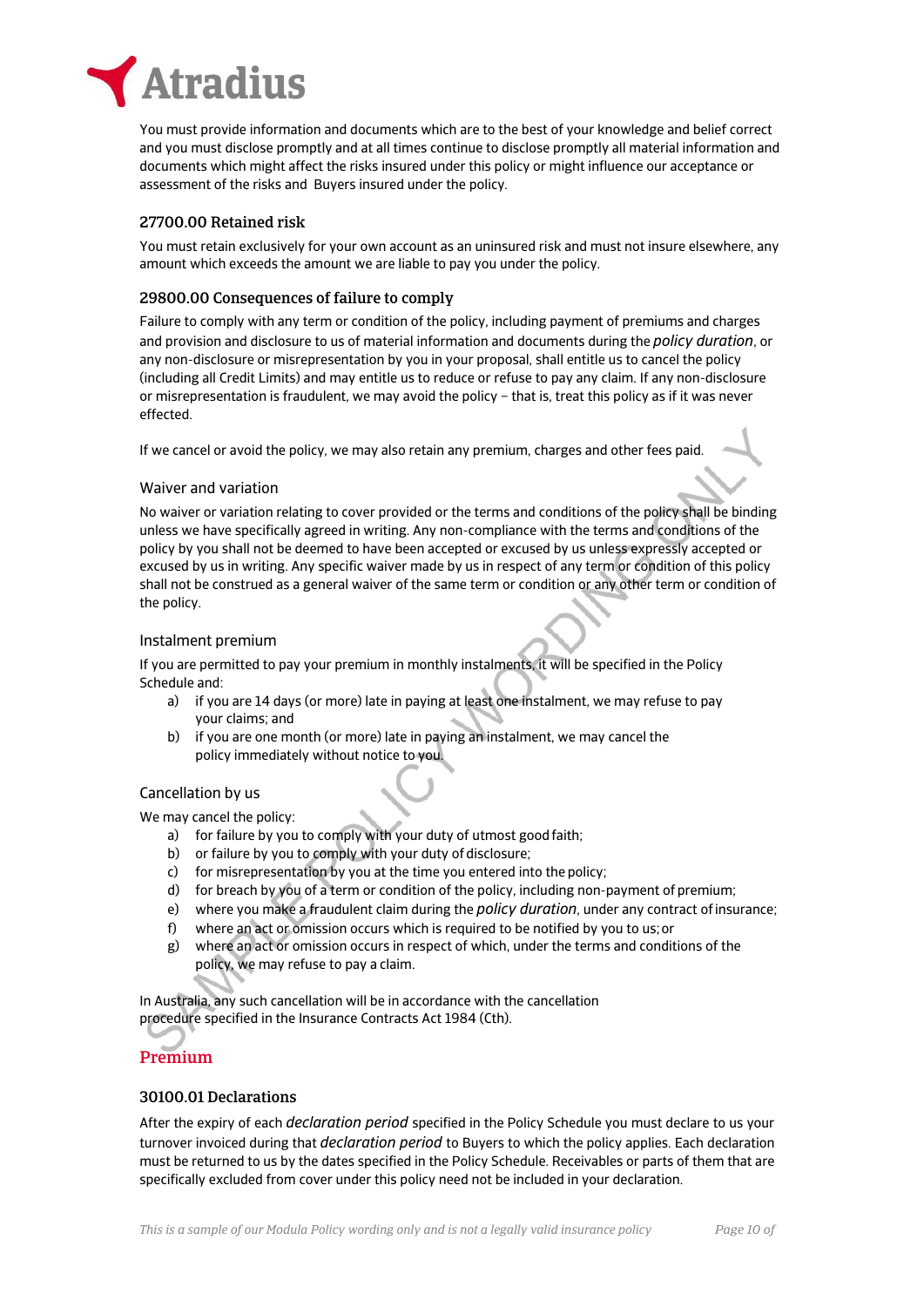

You must provide information and documents which are to the best of your knowledge and belief correct and you must disclose promptly and at all times continue to disclose promptly all material information and documents which might affect the risks insured under this policy or might influence our acceptance or assessment of the risks and Buyers insured under the policy.

## 27700.00 Retained risk

You must retain exclusively for your own account as an uninsured risk and must not insure elsewhere, any amount which exceeds the amount we are liable to pay you under the policy.

## 29800.00 Consequences of failure to comply

Failure to comply with any term or condition of the policy, including payment of premiums and charges and provision and disclosure to us of material information and documents during the *policy duration*, or any non-disclosure or misrepresentation by you in your proposal, shall entitle us to cancel the policy (including all Credit Limits) and may entitle us to reduce or refuse to pay any claim. If any non-disclosure or misrepresentation is fraudulent, we may avoid the policy – that is, treat this policy as if it was never effected.

If we cancel or avoid the policy, we may also retain any premium, charges and other fees paid.

## Waiver and variation

No waiver or variation relating to cover provided or the terms and conditions of the policy shall be binding unless we have specifically agreed in writing. Any non-compliance with the terms and conditions of the policy by you shall not be deemed to have been accepted or excused by us unless expressly accepted or excused by us in writing. Any specific waiver made by us in respect of any term or condition of this policy shall not be construed as a general waiver of the same term or condition or any other term or condition of the policy.

### Instalment premium

If you are permitted to pay your premium in monthly instalments, it will be specified in the Policy Schedule and:

- a) if you are 14 days (or more) late in paying at least one instalment, we may refuse to pay your claims; and
- b) if you are one month (or more) late in paying an instalment, we may cancel the policy immediately without notice to you.

## Cancellation by us

We may cancel the policy:

- a) for failure by you to comply with your duty of utmost good faith;
- b) or failure by you to comply with your duty of disclosure;
- c) for misrepresentation by you at the time you entered into the policy;
- d) for breach by you of a term or condition of the policy, including non-payment of premium;
- e) where you make a fraudulent claim during the *policy duration*, under any contract of insurance;
- f) where an act or omission occurs which is required to be notified by you to us; or
- g) where an act or omission occurs in respect of which, under the terms and conditions of the policy, we may refuse to pay a claim.

In Australia, any such cancellation will be in accordance with the cancellation procedure specified in the Insurance Contracts Act 1984 (Cth).

# Premium

## 30100.01 Declarations

After the expiry of each *declaration period* specified in the Policy Schedule you must declare to us your turnover invoiced during that *declaration period* to Buyers to which the policy applies. Each declaration must be returned to us by the dates specified in the Policy Schedule. Receivables or parts of them that are specifically excluded from cover under this policy need not be included in your declaration.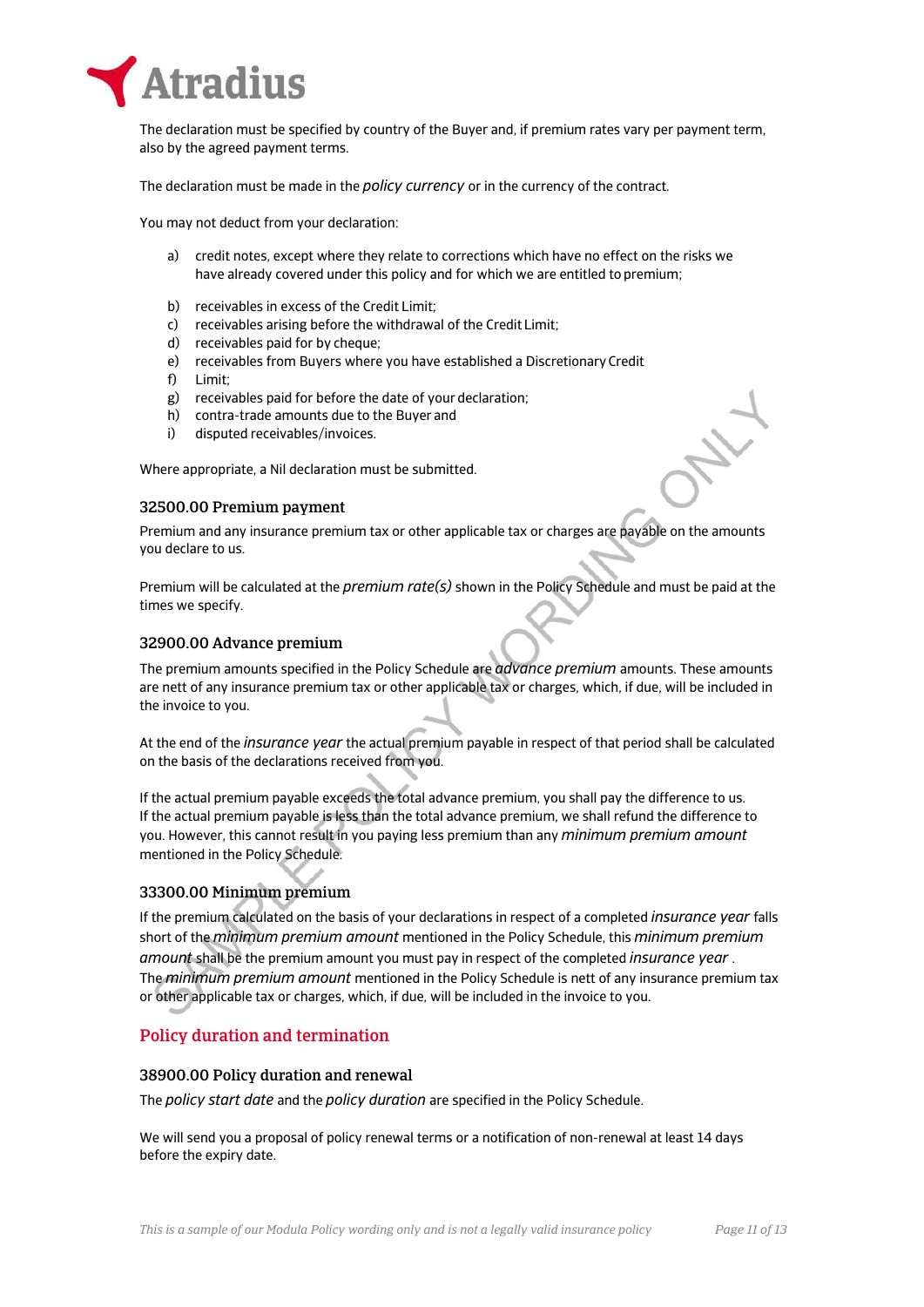

The declaration must be specified by country of the Buyer and, if premium rates vary per payment term, also by the agreed payment terms.

The declaration must be made in the *policy currency* or in the currency of the contract.

You may not deduct from your declaration:

- a) credit notes, except where they relate to corrections which have no effect on the risks we have already covered under this policy and for which we are entitled to premium;
- b) receivables in excess of the Credit Limit;
- c) receivables arising before the withdrawal of the Credit Limit;
- d) receivables paid for by cheque;
- e) receivables from Buyers where you have established a Discretionary Credit
- f) Limit;
- g) receivables paid for before the date of your declaration;
- h) contra-trade amounts due to the Buyer and
- i) disputed receivables/invoices.

Where appropriate, a Nil declaration must be submitted.

## 32500.00 Premium payment

Premium and any insurance premium tax or other applicable tax or charges are payable on the amounts you declare to us.

Premium will be calculated at the *premium rate(s)* shown in the Policy Schedule and must be paid at the times we specify.

## 32900.00 Advance premium

The premium amounts specified in the Policy Schedule are *advance premium* amounts. These amounts are nett of any insurance premium tax or other applicable tax or charges, which, if due, will be included in the invoice to you.

At the end of the *insurance year* the actual premium payable in respect of that period shall be calculated on the basis of the declarations received from you.

If the actual premium payable exceeds the total advance premium, you shall pay the difference to us. If the actual premium payable is less than the total advance premium, we shall refund the difference to you. However, this cannot result in you paying less premium than any *minimum premium amount*  mentioned in the Policy Schedule.

## 33300.00 Minimum premium

If the premium calculated on the basis of your declarations in respect of a completed *insurance year* falls short of the *minimum premium amount* mentioned in the Policy Schedule, this *minimum premium amount* shall be the premium amount you must pay in respect of the completed *insurance year* . The *minimum premium amount* mentioned in the Policy Schedule is nett of any insurance premium tax or other applicable tax or charges, which, if due, will be included in the invoice to you.

# Policy duration and termination

## 38900.00 Policy duration and renewal

The *policy start date* and the *policy duration* are specified in the Policy Schedule.

We will send you a proposal of policy renewal terms or a notification of non-renewal at least 14 days before the expiry date.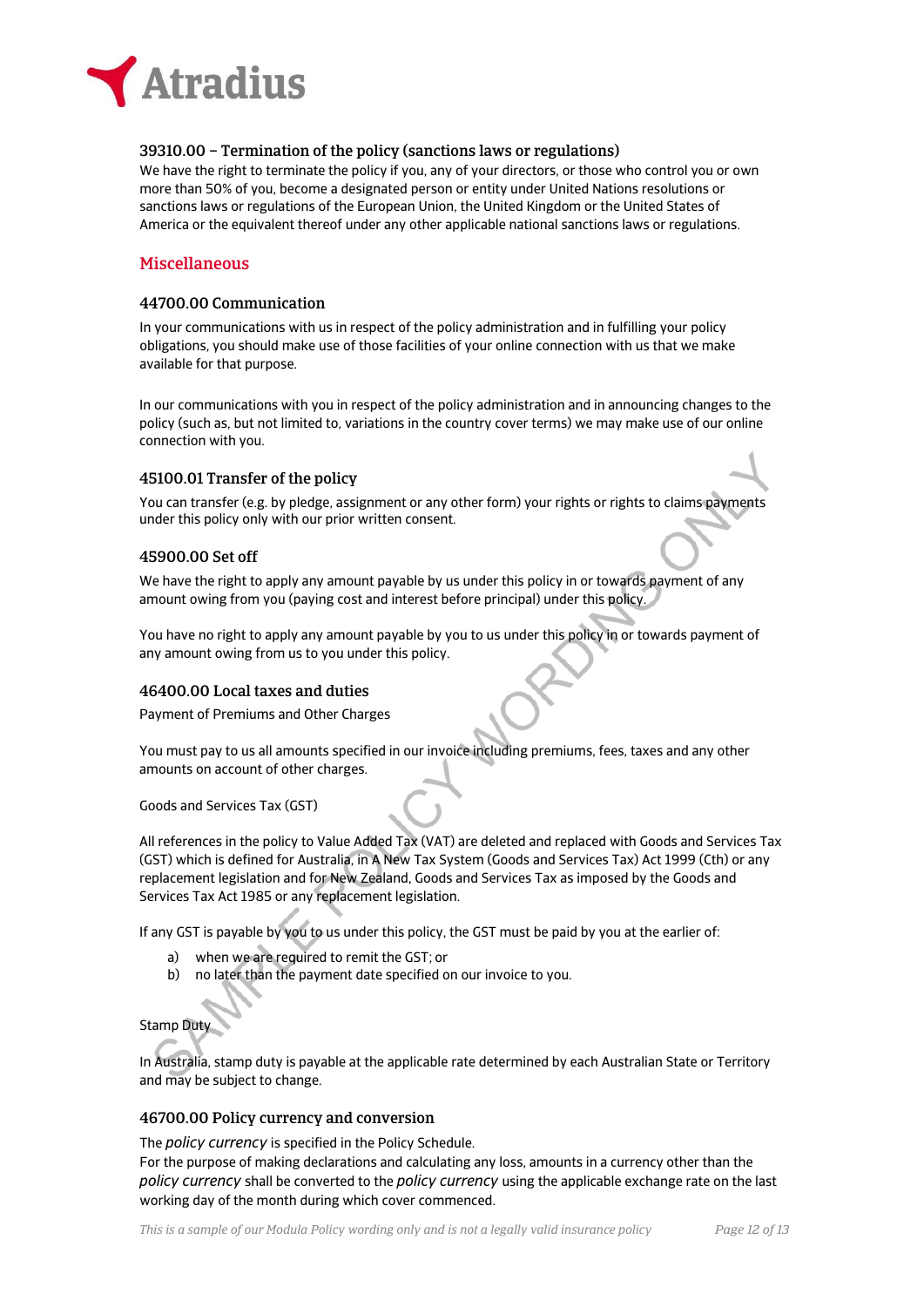

## 39310.00 – Termination of the policy (sanctions laws or regulations)

We have the right to terminate the policy if you, any of your directors, or those who control you or own more than 50% of you, become a designated person or entity under United Nations resolutions or sanctions laws or regulations of the European Union, the United Kingdom or the United States of America or the equivalent thereof under any other applicable national sanctions laws or regulations.

# Miscellaneous

## 44700.00 Communication

In your communications with us in respect of the policy administration and in fulfilling your policy obligations, you should make use of those facilities of your online connection with us that we make available for that purpose.

In our communications with you in respect of the policy administration and in announcing changes to the policy (such as, but not limited to, variations in the country cover terms) we may make use of our online connection with you.

## 45100.01 Transfer of the policy

You can transfer (e.g. by pledge, assignment or any other form) your rights or rights to claims payments under this policy only with our prior written consent.

## 45900.00 Set off

We have the right to apply any amount payable by us under this policy in or towards payment of any amount owing from you (paying cost and interest before principal) under this policy.

You have no right to apply any amount payable by you to us under this policy in or towards payment of any amount owing from us to you under this policy.

## 46400.00 Local taxes and duties

Payment of Premiums and Other Charges

You must pay to us all amounts specified in our invoice including premiums, fees, taxes and any other amounts on account of other charges.

Goods and Services Tax (GST)

All references in the policy to Value Added Tax (VAT) are deleted and replaced with Goods and Services Tax (GST) which is defined for Australia, in A New Tax System (Goods and Services Tax) Act 1999 (Cth) or any replacement legislation and for New Zealand, Goods and Services Tax as imposed by the Goods and Services Tax Act 1985 or any replacement legislation.

If any GST is payable by you to us under this policy, the GST must be paid by you at the earlier of:

- a) when we are required to remit the GST; or
- b) no later than the payment date specified on our invoice to you.

## Stamp Duty

In Australia, stamp duty is payable at the applicable rate determined by each Australian State or Territory and may be subject to change.

## 46700.00 Policy currency and conversion

The *policy currency* is specified in the Policy Schedule.

For the purpose of making declarations and calculating any loss, amounts in a currency other than the *policy currency* shall be converted to the *policy currency* using the applicable exchange rate on the last working day of the month during which cover commenced.